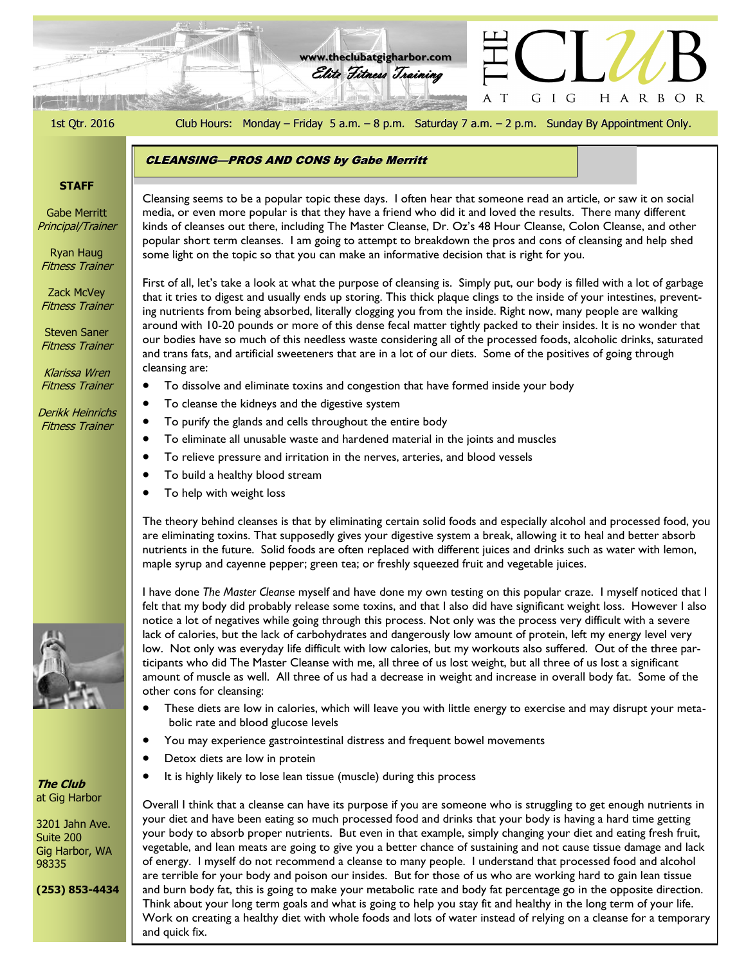و ده کار در در دارد.<br>ا **www.theclubatgigharbor.com** Elite Fitness Training G I G HARBOR A T Als alligned 1st Qtr. 2016 Club Hours: Monday – Friday 5 a.m. – 8 p.m. Saturday 7 a.m. – 2 p.m. Sunday By Appointment Only. CLEANSING—PROS AND CONS by Gabe Merritt **STAFF** Cleansing seems to be a popular topic these days. I often hear that someone read an article, or saw it on social Gabe Merritt media, or even more popular is that they have a friend who did it and loved the results. There many different Principal/Trainer kinds of cleanses out there, including The Master Cleanse, Dr. Oz's 48 Hour Cleanse, Colon Cleanse, and other Rinds of cleanses out the C, including the Flaster Giganse, Dr. Oz 3 to Floar Giganse, Golori Cleanse, and other<br>popular short term cleanses. I am going to attempt to breakdown the pros and cons of cleansing and help shed Ryan Haug some light on the topic so that you can make an informative decision that is right for you. Fitness Trainer First of all, let's take a look at what the purpose of cleansing is. Simply put, our body is filled with a lot of garbage Zack McVey that it tries to digest and usually ends up storing. This thick plaque clings to the inside of your intestines, prevent-Fitness Trainer ing nutrients from being absorbed, literally clogging you from the inside. Right now, many people are walking around with 10-20 pounds or more of this dense fecal matter tightly packed to their insides. It is no wonder that Steven Saner our bodies have so much of this needless waste considering all of the processed foods, alcoholic drinks, saturated Fitness Trainer and trans fats, and artificial sweeteners that are in a lot of our diets. Some of the positives of going through cleansing are: Klarissa Wren Fitness Trainer To dissolve and eliminate toxins and congestion that have formed inside your body • To cleanse the kidneys and the digestive system Derikk Heinrichs To purify the glands and cells throughout the entire body Fitness Trainer To eliminate all unusable waste and hardened material in the joints and muscles To relieve pressure and irritation in the nerves, arteries, and blood vessels To build a healthy blood stream To help with weight loss The theory behind cleanses is that by eliminating certain solid foods and especially alcohol and processed food, you are eliminating toxins. That supposedly gives your digestive system a break, allowing it to heal and better absorb nutrients in the future. Solid foods are often replaced with different juices and drinks such as water with lemon, maple syrup and cayenne pepper; green tea; or freshly squeezed fruit and vegetable juices. I have done *The Master Cleanse* myself and have done my own testing on this popular craze. I myself noticed that I felt that my body did probably release some toxins, and that I also did have significant weight loss. However I also notice a lot of negatives while going through this process. Not only was the process very difficult with a severe lack of calories, but the lack of carbohydrates and dangerously low amount of protein, left my energy level very low. Not only was everyday life difficult with low calories, but my workouts also suffered. Out of the three participants who did The Master Cleanse with me, all three of us lost weight, but all three of us lost a significant amount of muscle as well. All three of us had a decrease in weight and increase in overall body fat. Some of the other cons for cleansing: These diets are low in calories, which will leave you with little energy to exercise and may disrupt your metabolic rate and blood glucose levels You may experience gastrointestinal distress and frequent bowel movements Detox diets are low in protein It is highly likely to lose lean tissue (muscle) during this process **The Club** at Gig Harbor Overall I think that a cleanse can have its purpose if you are someone who is struggling to get enough nutrients in your diet and have been eating so much processed food and drinks that your body is having a hard time getting

3201 Jahn Ave. Suite 200 Gig Harbor, WA 98335

**(253) 853-4434**

your body to absorb proper nutrients. But even in that example, simply changing your diet and eating fresh fruit, vegetable, and lean meats are going to give you a better chance of sustaining and not cause tissue damage and lack of energy. I myself do not recommend a cleanse to many people. I understand that processed food and alcohol are terrible for your body and poison our insides. But for those of us who are working hard to gain lean tissue

and burn body fat, this is going to make your metabolic rate and body fat percentage go in the opposite direction. Think about your long term goals and what is going to help you stay fit and healthy in the long term of your life. Work on creating a healthy diet with whole foods and lots of water instead of relying on a cleanse for a temporary and quick fix.

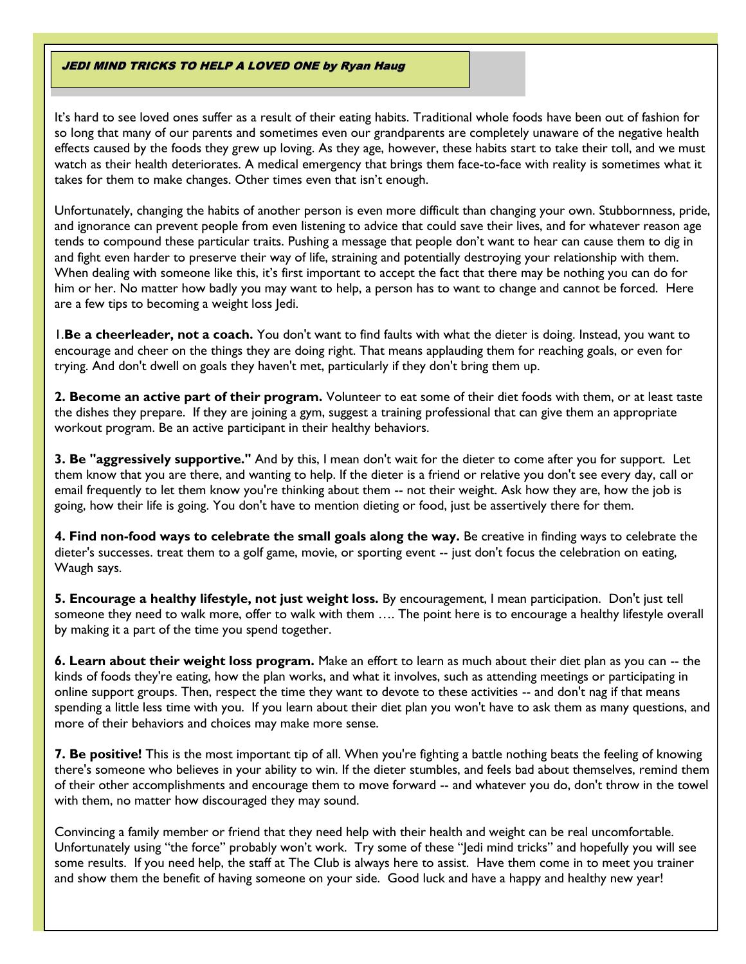#### JEDI MIND TRICKS TO HELP A LOVED ONE by Ryan Haug

It's hard to see loved ones suffer as a result of their eating habits. Traditional whole foods have been out of fashion for so long that many of our parents and sometimes even our grandparents are completely unaware of the negative health effects caused by the foods they grew up loving. As they age, however, these habits start to take their toll, and we must watch as their health deteriorates. A medical emergency that brings them face-to-face with reality is sometimes what it takes for them to make changes. Other times even that isn't enough.

Unfortunately, changing the habits of another person is even more difficult than changing your own. Stubbornness, pride, and ignorance can prevent people from even listening to advice that could save their lives, and for whatever reason age tends to compound these particular traits. Pushing a message that people don't want to hear can cause them to dig in and fight even harder to preserve their way of life, straining and potentially destroying your relationship with them. When dealing with someone like this, it's first important to accept the fact that there may be nothing you can do for him or her. No matter how badly you may want to help, a person has to want to change and cannot be forced. Here are a few tips to becoming a weight loss Jedi.

1.**Be a cheerleader, not a coach.** You don't want to find faults with what the dieter is doing. Instead, you want to encourage and cheer on the things they are doing right. That means applauding them for reaching goals, or even for trying. And don't dwell on goals they haven't met, particularly if they don't bring them up.

**2. Become an active part of their program.** Volunteer to eat some of their diet foods with them, or at least taste the dishes they prepare. If they are joining a gym, suggest a training professional that can give them an appropriate workout program. Be an active participant in their healthy behaviors.

**3. Be "aggressively supportive."** And by this, I mean don't wait for the dieter to come after you for support. Let them know that you are there, and wanting to help. If the dieter is a friend or relative you don't see every day, call or email frequently to let them know you're thinking about them -- not their weight. Ask how they are, how the job is going, how their life is going. You don't have to mention dieting or food, just be assertively there for them.

**4. Find non-food ways to celebrate the small goals along the way.** Be creative in finding ways to celebrate the dieter's successes. treat them to a golf game, movie, or sporting event -- just don't focus the celebration on eating, Waugh says.

**5. Encourage a healthy lifestyle, not just weight loss.** By encouragement, I mean participation. Don't just tell someone they need to walk more, offer to walk with them …. The point here is to encourage a healthy lifestyle overall by making it a part of the time you spend together.

**6. Learn about their weight loss program.** Make an effort to learn as much about their diet plan as you can -- the kinds of foods they're eating, how the plan works, and what it involves, such as attending meetings or participating in online support groups. Then, respect the time they want to devote to these activities -- and don't nag if that means spending a little less time with you. If you learn about their diet plan you won't have to ask them as many questions, and more of their behaviors and choices may make more sense.

**7. Be positive!** This is the most important tip of all. When you're fighting a battle nothing beats the feeling of knowing there's someone who believes in your ability to win. If the dieter stumbles, and feels bad about themselves, remind them of their other accomplishments and encourage them to move forward -- and whatever you do, don't throw in the towel with them, no matter how discouraged they may sound.

Convincing a family member or friend that they need help with their health and weight can be real uncomfortable. Unfortunately using "the force" probably won't work. Try some of these "Jedi mind tricks" and hopefully you will see some results. If you need help, the staff at The Club is always here to assist. Have them come in to meet you trainer and show them the benefit of having someone on your side. Good luck and have a happy and healthy new year!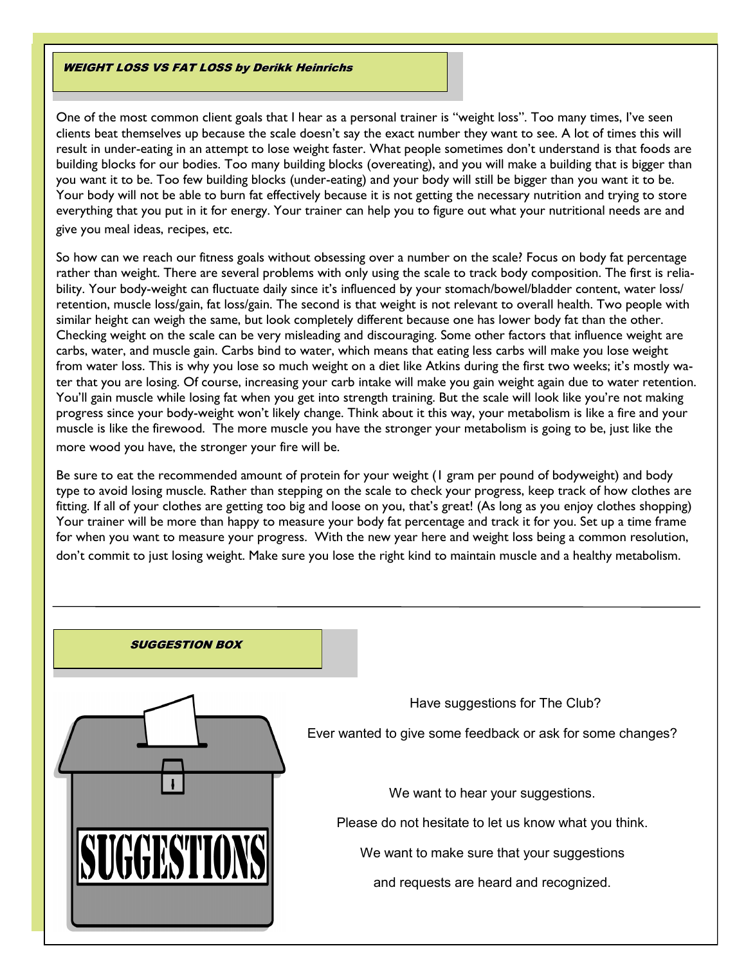#### WEIGHT LOSS VS FAT LOSS by Derikk Heinrichs

One of the most common client goals that I hear as a personal trainer is "weight loss". Too many times, I've seen clients beat themselves up because the scale doesn't say the exact number they want to see. A lot of times this will result in under-eating in an attempt to lose weight faster. What people sometimes don't understand is that foods are building blocks for our bodies. Too many building blocks (overeating), and you will make a building that is bigger than you want it to be. Too few building blocks (under-eating) and your body will still be bigger than you want it to be. Your body will not be able to burn fat effectively because it is not getting the necessary nutrition and trying to store everything that you put in it for energy. Your trainer can help you to figure out what your nutritional needs are and give you meal ideas, recipes, etc.

So how can we reach our fitness goals without obsessing over a number on the scale? Focus on body fat percentage rather than weight. There are several problems with only using the scale to track body composition. The first is reliability. Your body-weight can fluctuate daily since it's influenced by your stomach/bowel/bladder content, water loss/ retention, muscle loss/gain, fat loss/gain. The second is that weight is not relevant to overall health. Two people with similar height can weigh the same, but look completely different because one has lower body fat than the other. Checking weight on the scale can be very misleading and discouraging. Some other factors that influence weight are carbs, water, and muscle gain. Carbs bind to water, which means that eating less carbs will make you lose weight from water loss. This is why you lose so much weight on a diet like Atkins during the first two weeks; it's mostly water that you are losing. Of course, increasing your carb intake will make you gain weight again due to water retention. You'll gain muscle while losing fat when you get into strength training. But the scale will look like you're not making progress since your body-weight won't likely change. Think about it this way, your metabolism is like a fire and your muscle is like the firewood. The more muscle you have the stronger your metabolism is going to be, just like the more wood you have, the stronger your fire will be.

Be sure to eat the recommended amount of protein for your weight (1 gram per pound of bodyweight) and body type to avoid losing muscle. Rather than stepping on the scale to check your progress, keep track of how clothes are fitting. If all of your clothes are getting too big and loose on you, that's great! (As long as you enjoy clothes shopping) Your trainer will be more than happy to measure your body fat percentage and track it for you. Set up a time frame for when you want to measure your progress. With the new year here and weight loss being a common resolution, don't commit to just losing weight. Make sure you lose the right kind to maintain muscle and a healthy metabolism.

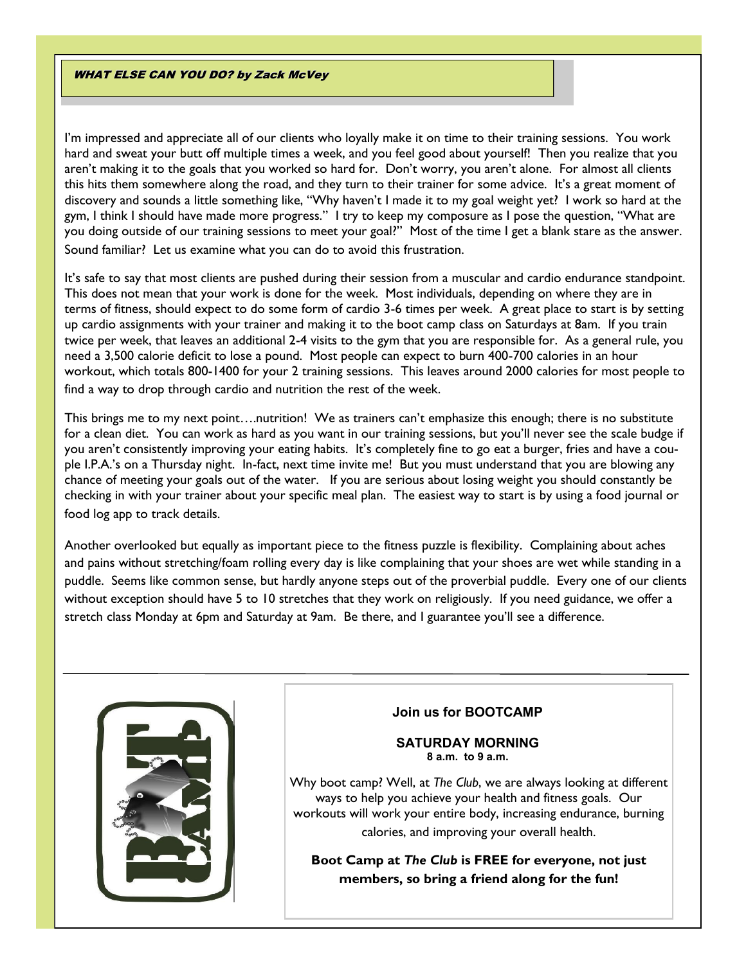#### **WHAT ELSE CAN YOU DO? by Zack McVey**

I'm impressed and appreciate all of our clients who loyally make it on time to their training sessions. You work hard and sweat your butt off multiple times a week, and you feel good about yourself! Then you realize that you aren't making it to the goals that you worked so hard for. Don't worry, you aren't alone. For almost all clients this hits them somewhere along the road, and they turn to their trainer for some advice. It's a great moment of discovery and sounds a little something like, "Why haven't I made it to my goal weight yet? I work so hard at the gym, I think I should have made more progress." I try to keep my composure as I pose the question, "What are you doing outside of our training sessions to meet your goal?" Most of the time I get a blank stare as the answer. Sound familiar? Let us examine what you can do to avoid this frustration.

It's safe to say that most clients are pushed during their session from a muscular and cardio endurance standpoint. This does not mean that your work is done for the week. Most individuals, depending on where they are in terms of fitness, should expect to do some form of cardio 3-6 times per week. A great place to start is by setting up cardio assignments with your trainer and making it to the boot camp class on Saturdays at 8am. If you train twice per week, that leaves an additional 2-4 visits to the gym that you are responsible for. As a general rule, you need a 3,500 calorie deficit to lose a pound. Most people can expect to burn 400-700 calories in an hour workout, which totals 800-1400 for your 2 training sessions. This leaves around 2000 calories for most people to find a way to drop through cardio and nutrition the rest of the week.

This brings me to my next point….nutrition! We as trainers can't emphasize this enough; there is no substitute for a clean diet. You can work as hard as you want in our training sessions, but you'll never see the scale budge if you aren't consistently improving your eating habits. It's completely fine to go eat a burger, fries and have a couple I.P.A.'s on a Thursday night. In-fact, next time invite me! But you must understand that you are blowing any chance of meeting your goals out of the water. If you are serious about losing weight you should constantly be checking in with your trainer about your specific meal plan. The easiest way to start is by using a food journal or food log app to track details.

Another overlooked but equally as important piece to the fitness puzzle is flexibility. Complaining about aches and pains without stretching/foam rolling every day is like complaining that your shoes are wet while standing in a puddle. Seems like common sense, but hardly anyone steps out of the proverbial puddle. Every one of our clients without exception should have 5 to 10 stretches that they work on religiously. If you need guidance, we offer a stretch class Monday at 6pm and Saturday at 9am. Be there, and I guarantee you'll see a difference.



### **Join us for BOOTCAMP**

#### **SATURDAY MORNING 8 a.m. to 9 a.m.**

Why boot camp? Well, at *The Club*, we are always looking at different ways to help you achieve your health and fitness goals. Our workouts will work your entire body, increasing endurance, burning calories, and improving your overall health.

**Boot Camp at** *The Club* **is FREE for everyone, not just members, so bring a friend along for the fun!**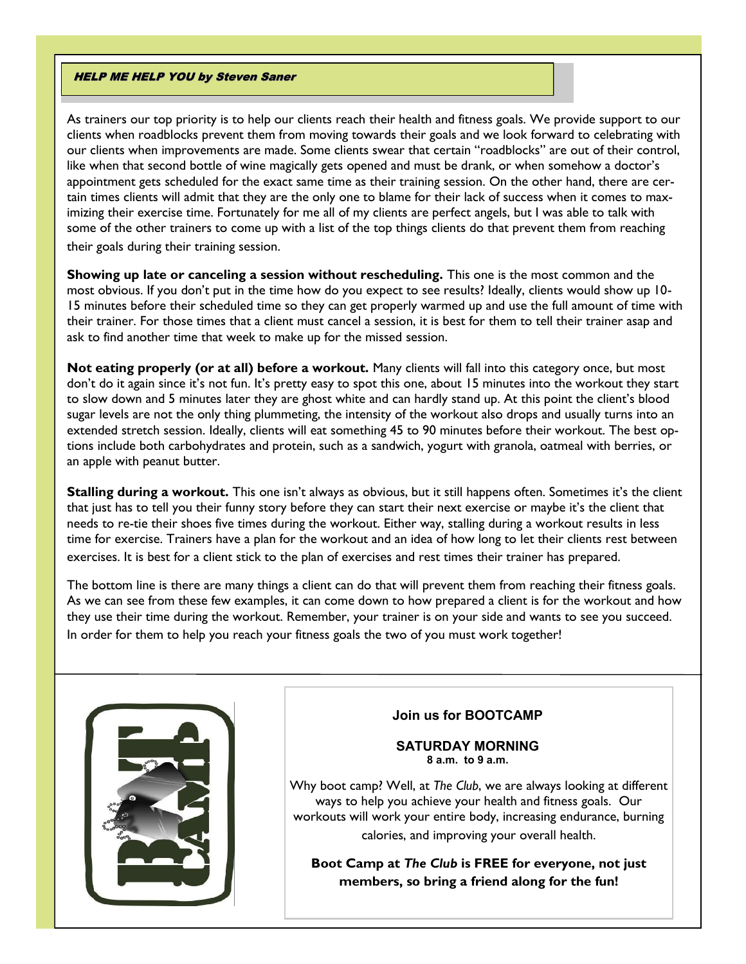#### HELP ME HELP YOU by Steven Saner

As trainers our top priority is to help our clients reach their health and fitness goals. We provide support to our clients when roadblocks prevent them from moving towards their goals and we look forward to celebrating with our clients when improvements are made. Some clients swear that certain "roadblocks" are out of their control, like when that second bottle of wine magically gets opened and must be drank, or when somehow a doctor's appointment gets scheduled for the exact same time as their training session. On the other hand, there are certain times clients will admit that they are the only one to blame for their lack of success when it comes to maximizing their exercise time. Fortunately for me all of my clients are perfect angels, but I was able to talk with some of the other trainers to come up with a list of the top things clients do that prevent them from reaching their goals during their training session.

**Showing up late or canceling a session without rescheduling.** This one is the most common and the most obvious. If you don't put in the time how do you expect to see results? Ideally, clients would show up 10- 15 minutes before their scheduled time so they can get properly warmed up and use the full amount of time with their trainer. For those times that a client must cancel a session, it is best for them to tell their trainer asap and ask to find another time that week to make up for the missed session.

**Not eating properly (or at all) before a workout.** Many clients will fall into this category once, but most don't do it again since it's not fun. It's pretty easy to spot this one, about 15 minutes into the workout they start to slow down and 5 minutes later they are ghost white and can hardly stand up. At this point the client's blood sugar levels are not the only thing plummeting, the intensity of the workout also drops and usually turns into an extended stretch session. Ideally, clients will eat something 45 to 90 minutes before their workout. The best options include both carbohydrates and protein, such as a sandwich, yogurt with granola, oatmeal with berries, or an apple with peanut butter.

**Stalling during a workout.** This one isn't always as obvious, but it still happens often. Sometimes it's the client that just has to tell you their funny story before they can start their next exercise or maybe it's the client that needs to re-tie their shoes five times during the workout. Either way, stalling during a workout results in less time for exercise. Trainers have a plan for the workout and an idea of how long to let their clients rest between exercises. It is best for a client stick to the plan of exercises and rest times their trainer has prepared.

The bottom line is there are many things a client can do that will prevent them from reaching their fitness goals. As we can see from these few examples, it can come down to how prepared a client is for the workout and how they use their time during the workout. Remember, your trainer is on your side and wants to see you succeed. In order for them to help you reach your fitness goals the two of you must work together!



# **Join us for BOOTCAMP**

#### **SATURDAY MORNING 8 a.m. to 9 a.m.**

Why boot camp? Well, at *The Club*, we are always looking at different ways to help you achieve your health and fitness goals. Our workouts will work your entire body, increasing endurance, burning calories, and improving your overall health.

**Boot Camp at** *The Club* **is FREE for everyone, not just members, so bring a friend along for the fun!**